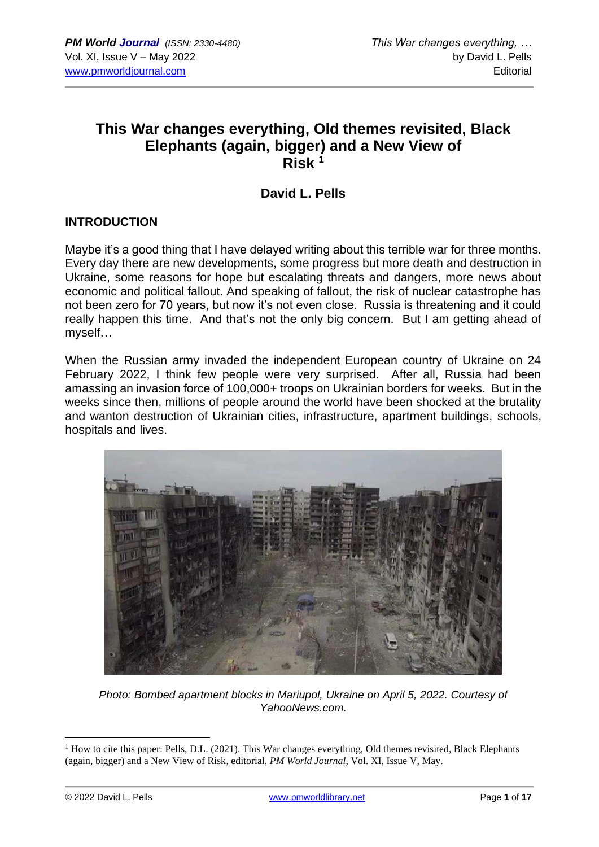# **This War changes everything, Old themes revisited, Black Elephants (again, bigger) and a New View of Risk <sup>1</sup>**

## **David L. Pells**

#### **INTRODUCTION**

Maybe it's a good thing that I have delayed writing about this terrible war for three months. Every day there are new developments, some progress but more death and destruction in Ukraine, some reasons for hope but escalating threats and dangers, more news about economic and political fallout. And speaking of fallout, the risk of nuclear catastrophe has not been zero for 70 years, but now it's not even close. Russia is threatening and it could really happen this time. And that's not the only big concern. But I am getting ahead of myself…

When the Russian army invaded the independent European country of Ukraine on 24 February 2022, I think few people were very surprised. After all, Russia had been amassing an invasion force of 100,000+ troops on Ukrainian borders for weeks. But in the weeks since then, millions of people around the world have been shocked at the brutality and wanton destruction of Ukrainian cities, infrastructure, apartment buildings, schools, hospitals and lives.



*Photo: Bombed apartment blocks in Mariupol, Ukraine on April 5, 2022. Courtesy of YahooNews.com.*

 $<sup>1</sup>$  How to cite this paper: Pells, D.L. (2021). This War changes everything, Old themes revisited, Black Elephants</sup> (again, bigger) and a New View of Risk, editorial, *PM World Journal*, Vol. XI, Issue V, May.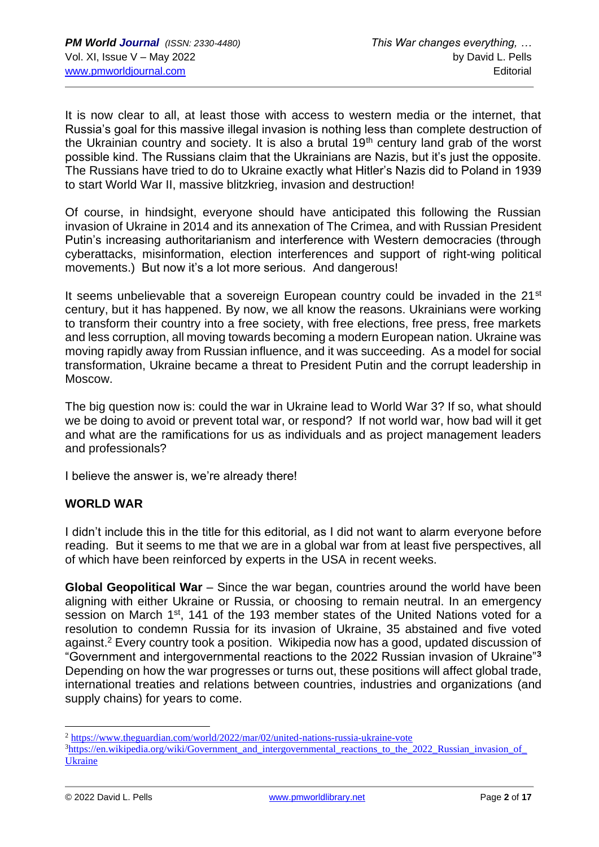It is now clear to all, at least those with access to western media or the internet, that Russia's goal for this massive illegal invasion is nothing less than complete destruction of the Ukrainian country and society. It is also a brutal 19<sup>th</sup> century land grab of the worst possible kind. The Russians claim that the Ukrainians are Nazis, but it's just the opposite. The Russians have tried to do to Ukraine exactly what Hitler's Nazis did to Poland in 1939 to start World War II, massive blitzkrieg, invasion and destruction!

Of course, in hindsight, everyone should have anticipated this following the Russian invasion of Ukraine in 2014 and its annexation of The Crimea, and with Russian President Putin's increasing authoritarianism and interference with Western democracies (through cyberattacks, misinformation, election interferences and support of right-wing political movements.) But now it's a lot more serious. And dangerous!

It seems unbelievable that a sovereign European country could be invaded in the 21<sup>st</sup> century, but it has happened. By now, we all know the reasons. Ukrainians were working to transform their country into a free society, with free elections, free press, free markets and less corruption, all moving towards becoming a modern European nation. Ukraine was moving rapidly away from Russian influence, and it was succeeding. As a model for social transformation, Ukraine became a threat to President Putin and the corrupt leadership in Moscow.

The big question now is: could the war in Ukraine lead to World War 3? If so, what should we be doing to avoid or prevent total war, or respond? If not world war, how bad will it get and what are the ramifications for us as individuals and as project management leaders and professionals?

I believe the answer is, we're already there!

#### **WORLD WAR**

I didn't include this in the title for this editorial, as I did not want to alarm everyone before reading. But it seems to me that we are in a global war from at least five perspectives, all of which have been reinforced by experts in the USA in recent weeks.

**Global Geopolitical War** – Since the war began, countries around the world have been aligning with either Ukraine or Russia, or choosing to remain neutral. In an emergency session on March 1<sup>st</sup>, 141 of the 193 member states of the United Nations voted for a resolution to condemn Russia for its invasion of Ukraine, 35 abstained and five voted against. <sup>2</sup> Every country took a position. Wikipedia now has a good, updated discussion of "Government and intergovernmental reactions to the 2022 Russian invasion of Ukraine"**<sup>3</sup>** Depending on how the war progresses or turns out, these positions will affect global trade, international treaties and relations between countries, industries and organizations (and supply chains) for years to come.

<sup>2</sup> <https://www.theguardian.com/world/2022/mar/02/united-nations-russia-ukraine-vote>

<sup>&</sup>lt;sup>3</sup>https://en.wikipedia.org/wiki/Government and intergovernmental reactions to the 2022 Russian invasion of [Ukraine](https://en.wikipedia.org/wiki/Government_and_intergovernmental_reactions_to_the_2022_Russian_invasion_of_Ukraine)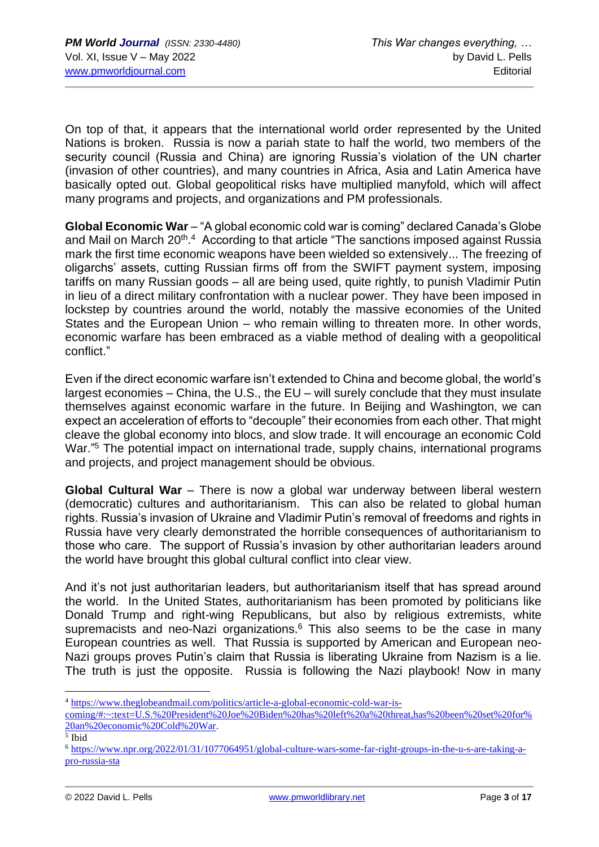On top of that, it appears that the international world order represented by the United Nations is broken. Russia is now a pariah state to half the world, two members of the security council (Russia and China) are ignoring Russia's violation of the UN charter (invasion of other countries), and many countries in Africa, Asia and Latin America have basically opted out. Global geopolitical risks have multiplied manyfold, which will affect many programs and projects, and organizations and PM professionals.

**Global Economic War** – "A global economic cold war is coming" declared Canada's Globe and Mail on March 20<sup>th</sup>.<sup>4</sup> According to that article "The sanctions imposed against Russia mark the first time economic weapons have been wielded so extensively... The freezing of oligarchs' assets, cutting Russian firms off from the SWIFT payment system, imposing tariffs on many Russian goods – all are being used, quite rightly, to punish Vladimir Putin in lieu of a direct military confrontation with a nuclear power. They have been imposed in lockstep by countries around the world, notably the massive economies of the United States and the European Union – who remain willing to threaten more. In other words, economic warfare has been embraced as a viable method of dealing with a geopolitical conflict."

Even if the direct economic warfare isn't extended to China and become global, the world's largest economies – China, the U.S., the EU – will surely conclude that they must insulate themselves against economic warfare in the future. In Beijing and Washington, we can expect an acceleration of efforts to "decouple" their economies from each other. That might cleave the global economy into blocs, and slow trade. It will encourage an economic Cold War.<sup>"5</sup> The potential impact on international trade, supply chains, international programs and projects, and project management should be obvious.

**Global Cultural War** – There is now a global war underway between liberal western (democratic) cultures and authoritarianism. This can also be related to global human rights. Russia's invasion of Ukraine and Vladimir Putin's removal of freedoms and rights in Russia have very clearly demonstrated the horrible consequences of authoritarianism to those who care. The support of Russia's invasion by other authoritarian leaders around the world have brought this global cultural conflict into clear view.

And it's not just authoritarian leaders, but authoritarianism itself that has spread around the world. In the United States, authoritarianism has been promoted by politicians like Donald Trump and right-wing Republicans, but also by religious extremists, white supremacists and neo-Nazi organizations. $6$  This also seems to be the case in many European countries as well. That Russia is supported by American and European neo-Nazi groups proves Putin's claim that Russia is liberating Ukraine from Nazism is a lie. The truth is just the opposite. Russia is following the Nazi playbook! Now in many

<sup>4</sup> [https://www.theglobeandmail.com/politics/article-a-global-economic-cold-war-is-](https://www.theglobeandmail.com/politics/article-a-global-economic-cold-war-is-coming/#:~:text=U.S.%20President%20Joe%20Biden%20has%20left%20a%20threat,has%20been%20set%20for%20an%20economic%20Cold%20War)

[coming/#:~:text=U.S.%20President%20Joe%20Biden%20has%20left%20a%20threat,has%20been%20set%20for%](https://www.theglobeandmail.com/politics/article-a-global-economic-cold-war-is-coming/#:~:text=U.S.%20President%20Joe%20Biden%20has%20left%20a%20threat,has%20been%20set%20for%20an%20economic%20Cold%20War) [20an%20economic%20Cold%20War.](https://www.theglobeandmail.com/politics/article-a-global-economic-cold-war-is-coming/#:~:text=U.S.%20President%20Joe%20Biden%20has%20left%20a%20threat,has%20been%20set%20for%20an%20economic%20Cold%20War)

<sup>5</sup> Ibid

<sup>6</sup> [https://www.npr.org/2022/01/31/1077064951/global-culture-wars-some-far-right-groups-in-the-u-s-are-taking-a](https://www.npr.org/2022/01/31/1077064951/global-culture-wars-some-far-right-groups-in-the-u-s-are-taking-a-pro-russia-sta)[pro-russia-sta](https://www.npr.org/2022/01/31/1077064951/global-culture-wars-some-far-right-groups-in-the-u-s-are-taking-a-pro-russia-sta)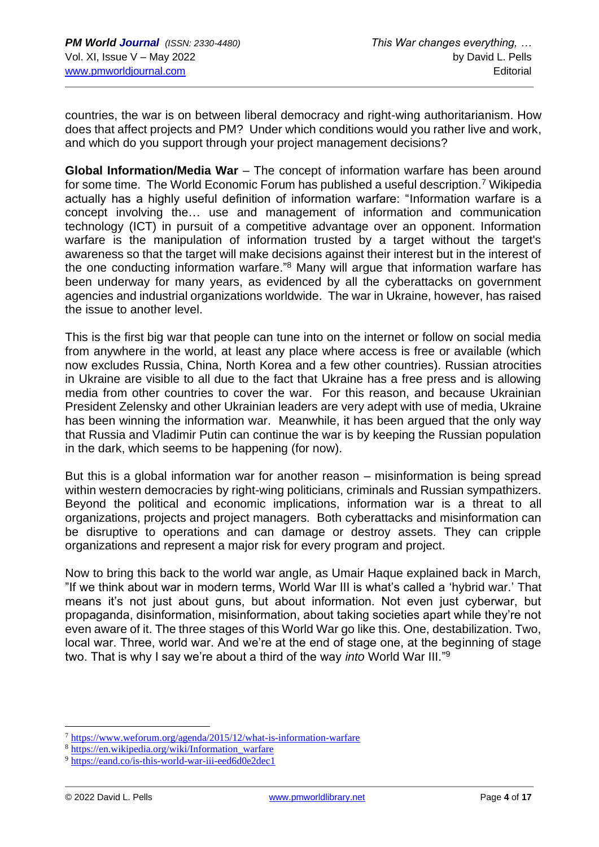countries, the war is on between liberal democracy and right-wing authoritarianism. How does that affect projects and PM? Under which conditions would you rather live and work, and which do you support through your project management decisions?

**Global Information/Media War** – The concept of information warfare has been around for some time. The World Economic Forum has published a useful description.<sup>7</sup> Wikipedia actually has a highly useful definition of information warfare: "Information warfare is a concept involving the… use and management of information and communication technology (ICT) in pursuit of a competitive advantage over an opponent. Information warfare is the manipulation of information trusted by a target without the target's awareness so that the target will make decisions against their interest but in the interest of the one conducting information warfare."<sup>8</sup> Many will argue that information warfare has been underway for many years, as evidenced by all the cyberattacks on government agencies and industrial organizations worldwide. The war in Ukraine, however, has raised the issue to another level.

This is the first big war that people can tune into on the internet or follow on social media from anywhere in the world, at least any place where access is free or available (which now excludes Russia, China, North Korea and a few other countries). Russian atrocities in Ukraine are visible to all due to the fact that Ukraine has a free press and is allowing media from other countries to cover the war. For this reason, and because Ukrainian President Zelensky and other Ukrainian leaders are very adept with use of media, Ukraine has been winning the information war. Meanwhile, it has been argued that the only way that Russia and Vladimir Putin can continue the war is by keeping the Russian population in the dark, which seems to be happening (for now).

But this is a global information war for another reason – misinformation is being spread within western democracies by right-wing politicians, criminals and Russian sympathizers. Beyond the political and economic implications, information war is a threat to all organizations, projects and project managers. Both cyberattacks and misinformation can be disruptive to operations and can damage or destroy assets. They can cripple organizations and represent a major risk for every program and project.

Now to bring this back to the world war angle, as Umair Haque explained back in March, "If we think about war in modern terms, World War III is what's called a 'hybrid war.' That means it's not just about guns, but about information. Not even just cyberwar, but propaganda, disinformation, misinformation, about taking societies apart while they're not even aware of it. The three stages of this World War go like this. One, destabilization. Two, local war. Three, world war. And we're at the end of stage one, at the beginning of stage two. That is why I say we're about a third of the way *into* World War III." 9

<sup>7</sup> <https://www.weforum.org/agenda/2015/12/what-is-information-warfare>

<sup>8</sup> [https://en.wikipedia.org/wiki/Information\\_warfare](https://en.wikipedia.org/wiki/Information_warfare)

<sup>9</sup> <https://eand.co/is-this-world-war-iii-eed6d0e2dec1>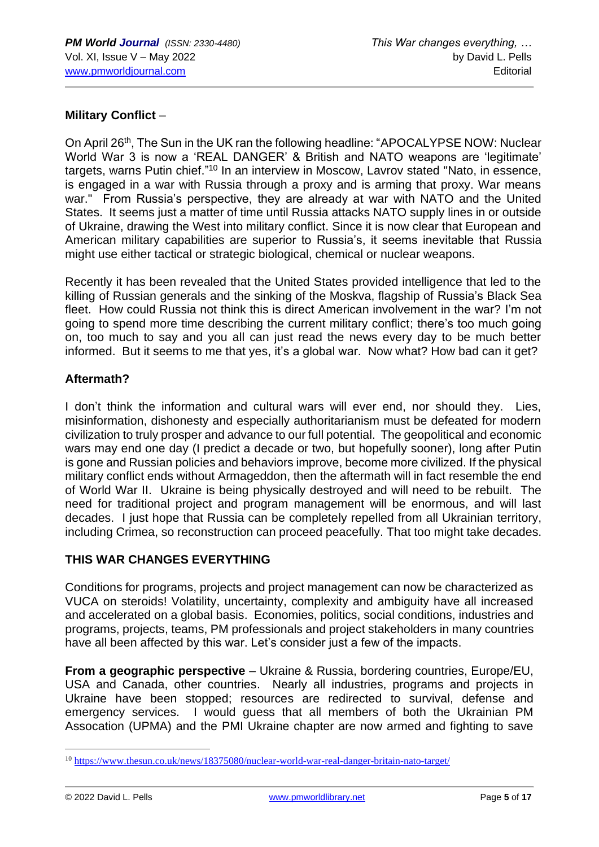#### **Military Conflict** –

On April 26<sup>th</sup>, The Sun in the UK ran the following headline: "APOCALYPSE NOW: Nuclear World War 3 is now a 'REAL DANGER' & British and NATO weapons are 'legitimate' targets, warns Putin chief."<sup>10</sup> In an interview in Moscow, Lavrov stated "Nato, in essence, is engaged in a war with Russia through a proxy and is arming that proxy. War means war." From Russia's perspective, they are already at war with NATO and the United States. It seems just a matter of time until Russia attacks NATO supply lines in or outside of Ukraine, drawing the West into military conflict. Since it is now clear that European and American military capabilities are superior to Russia's, it seems inevitable that Russia might use either tactical or strategic biological, chemical or nuclear weapons.

Recently it has been revealed that the United States provided intelligence that led to the killing of Russian generals and the sinking of the Moskva, flagship of Russia's Black Sea fleet. How could Russia not think this is direct American involvement in the war? I'm not going to spend more time describing the current military conflict; there's too much going on, too much to say and you all can just read the news every day to be much better informed. But it seems to me that yes, it's a global war. Now what? How bad can it get?

#### **Aftermath?**

I don't think the information and cultural wars will ever end, nor should they. Lies, misinformation, dishonesty and especially authoritarianism must be defeated for modern civilization to truly prosper and advance to our full potential. The geopolitical and economic wars may end one day (I predict a decade or two, but hopefully sooner), long after Putin is gone and Russian policies and behaviors improve, become more civilized. If the physical military conflict ends without Armageddon, then the aftermath will in fact resemble the end of World War II. Ukraine is being physically destroyed and will need to be rebuilt. The need for traditional project and program management will be enormous, and will last decades. I just hope that Russia can be completely repelled from all Ukrainian territory, including Crimea, so reconstruction can proceed peacefully. That too might take decades.

#### **THIS WAR CHANGES EVERYTHING**

Conditions for programs, projects and project management can now be characterized as VUCA on steroids! Volatility, uncertainty, complexity and ambiguity have all increased and accelerated on a global basis. Economies, politics, social conditions, industries and programs, projects, teams, PM professionals and project stakeholders in many countries have all been affected by this war. Let's consider just a few of the impacts.

**From a geographic perspective** – Ukraine & Russia, bordering countries, Europe/EU, USA and Canada, other countries. Nearly all industries, programs and projects in Ukraine have been stopped; resources are redirected to survival, defense and emergency services. I would guess that all members of both the Ukrainian PM Assocation (UPMA) and the PMI Ukraine chapter are now armed and fighting to save

<sup>10</sup> <https://www.thesun.co.uk/news/18375080/nuclear-world-war-real-danger-britain-nato-target/>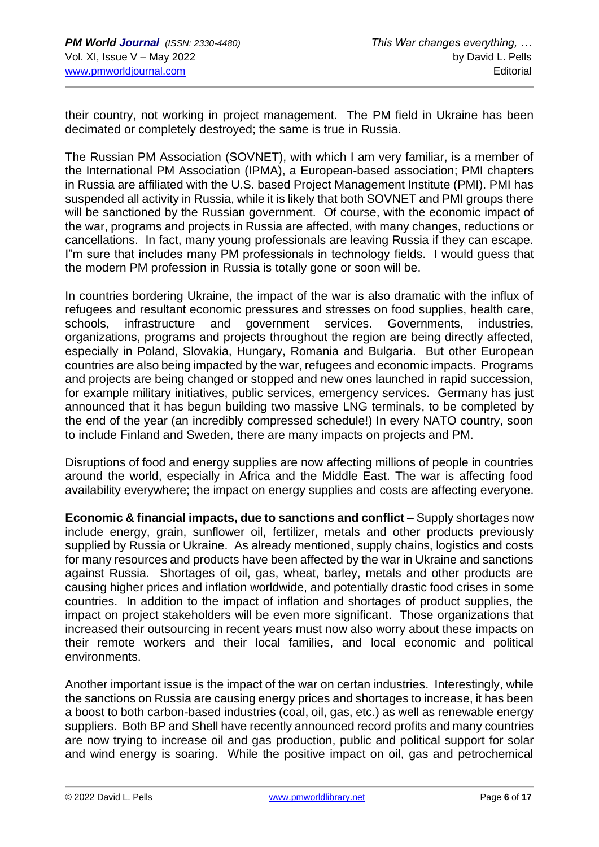their country, not working in project management. The PM field in Ukraine has been decimated or completely destroyed; the same is true in Russia.

The Russian PM Association (SOVNET), with which I am very familiar, is a member of the International PM Association (IPMA), a European-based association; PMI chapters in Russia are affiliated with the U.S. based Project Management Institute (PMI). PMI has suspended all activity in Russia, while it is likely that both SOVNET and PMI groups there will be sanctioned by the Russian government. Of course, with the economic impact of the war, programs and projects in Russia are affected, with many changes, reductions or cancellations. In fact, many young professionals are leaving Russia if they can escape. I"m sure that includes many PM professionals in technology fields. I would guess that the modern PM profession in Russia is totally gone or soon will be.

In countries bordering Ukraine, the impact of the war is also dramatic with the influx of refugees and resultant economic pressures and stresses on food supplies, health care, schools, infrastructure and government services. Governments, industries, organizations, programs and projects throughout the region are being directly affected, especially in Poland, Slovakia, Hungary, Romania and Bulgaria. But other European countries are also being impacted by the war, refugees and economic impacts. Programs and projects are being changed or stopped and new ones launched in rapid succession, for example military initiatives, public services, emergency services. Germany has just announced that it has begun building two massive LNG terminals, to be completed by the end of the year (an incredibly compressed schedule!) In every NATO country, soon to include Finland and Sweden, there are many impacts on projects and PM.

Disruptions of food and energy supplies are now affecting millions of people in countries around the world, especially in Africa and the Middle East. The war is affecting food availability everywhere; the impact on energy supplies and costs are affecting everyone.

**Economic & financial impacts, due to sanctions and conflict** – Supply shortages now include energy, grain, sunflower oil, fertilizer, metals and other products previously supplied by Russia or Ukraine. As already mentioned, supply chains, logistics and costs for many resources and products have been affected by the war in Ukraine and sanctions against Russia. Shortages of oil, gas, wheat, barley, metals and other products are causing higher prices and inflation worldwide, and potentially drastic food crises in some countries. In addition to the impact of inflation and shortages of product supplies, the impact on project stakeholders will be even more significant. Those organizations that increased their outsourcing in recent years must now also worry about these impacts on their remote workers and their local families, and local economic and political environments.

Another important issue is the impact of the war on certan industries. Interestingly, while the sanctions on Russia are causing energy prices and shortages to increase, it has been a boost to both carbon-based industries (coal, oil, gas, etc.) as well as renewable energy suppliers. Both BP and Shell have recently announced record profits and many countries are now trying to increase oil and gas production, public and political support for solar and wind energy is soaring. While the positive impact on oil, gas and petrochemical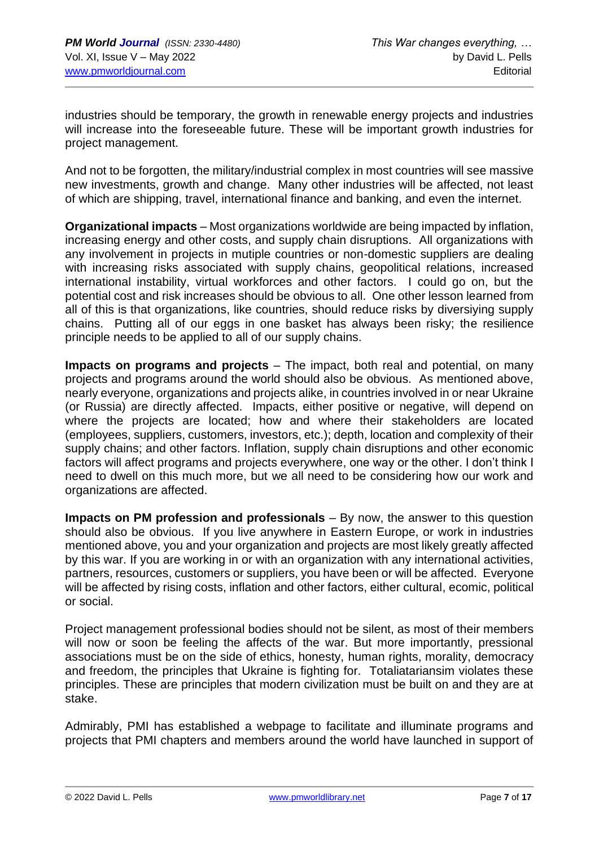industries should be temporary, the growth in renewable energy projects and industries will increase into the foreseeable future. These will be important growth industries for project management.

And not to be forgotten, the military/industrial complex in most countries will see massive new investments, growth and change. Many other industries will be affected, not least of which are shipping, travel, international finance and banking, and even the internet.

**Organizational impacts** – Most organizations worldwide are being impacted by inflation, increasing energy and other costs, and supply chain disruptions. All organizations with any involvement in projects in mutiple countries or non-domestic suppliers are dealing with increasing risks associated with supply chains, geopolitical relations, increased international instability, virtual workforces and other factors. I could go on, but the potential cost and risk increases should be obvious to all. One other lesson learned from all of this is that organizations, like countries, should reduce risks by diversiying supply chains. Putting all of our eggs in one basket has always been risky; the resilience principle needs to be applied to all of our supply chains.

**Impacts on programs and projects** – The impact, both real and potential, on many projects and programs around the world should also be obvious. As mentioned above, nearly everyone, organizations and projects alike, in countries involved in or near Ukraine (or Russia) are directly affected. Impacts, either positive or negative, will depend on where the projects are located; how and where their stakeholders are located (employees, suppliers, customers, investors, etc.); depth, location and complexity of their supply chains; and other factors. Inflation, supply chain disruptions and other economic factors will affect programs and projects everywhere, one way or the other. I don't think I need to dwell on this much more, but we all need to be considering how our work and organizations are affected.

**Impacts on PM profession and professionals** – By now, the answer to this question should also be obvious. If you live anywhere in Eastern Europe, or work in industries mentioned above, you and your organization and projects are most likely greatly affected by this war. If you are working in or with an organization with any international activities, partners, resources, customers or suppliers, you have been or will be affected. Everyone will be affected by rising costs, inflation and other factors, either cultural, ecomic, political or social.

Project management professional bodies should not be silent, as most of their members will now or soon be feeling the affects of the war. But more importantly, pressional associations must be on the side of ethics, honesty, human rights, morality, democracy and freedom, the principles that Ukraine is fighting for. Totaliatariansim violates these principles. These are principles that modern civilization must be built on and they are at stake.

Admirably, PMI has established a webpage to facilitate and illuminate programs and projects that PMI chapters and members around the world have launched in support of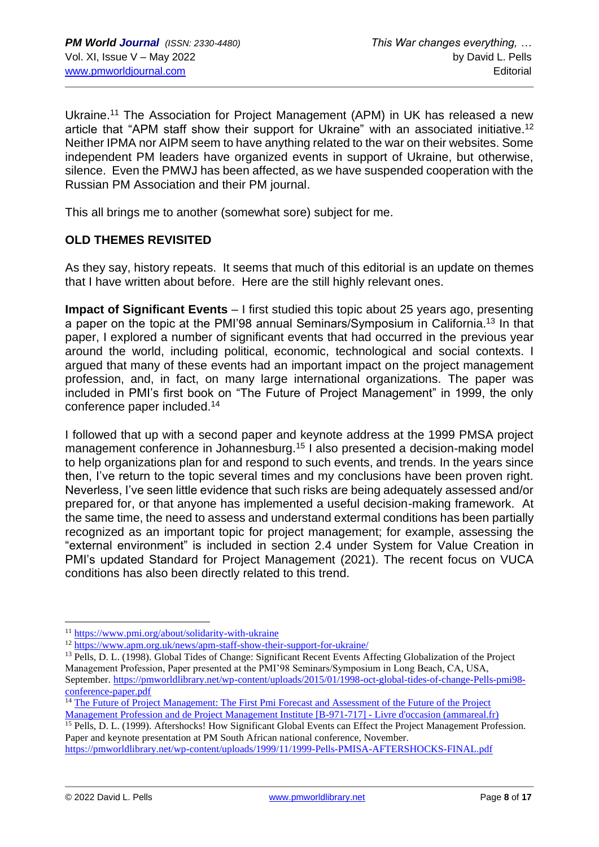Ukraine.<sup>11</sup> The Association for Project Management (APM) in UK has released a new article that "APM staff show their support for Ukraine" with an associated initiative.<sup>12</sup> Neither IPMA nor AIPM seem to have anything related to the war on their websites. Some independent PM leaders have organized events in support of Ukraine, but otherwise, silence. Even the PMWJ has been affected, as we have suspended cooperation with the Russian PM Association and their PM journal.

This all brings me to another (somewhat sore) subject for me.

## **OLD THEMES REVISITED**

As they say, history repeats. It seems that much of this editorial is an update on themes that I have written about before. Here are the still highly relevant ones.

**Impact of Significant Events** – I first studied this topic about 25 years ago, presenting a paper on the topic at the PMI'98 annual Seminars/Symposium in California.<sup>13</sup> In that paper, I explored a number of significant events that had occurred in the previous year around the world, including political, economic, technological and social contexts. I argued that many of these events had an important impact on the project management profession, and, in fact, on many large international organizations. The paper was included in PMI's first book on "The Future of Project Management" in 1999, the only conference paper included.<sup>14</sup>

I followed that up with a second paper and keynote address at the 1999 PMSA project management conference in Johannesburg.<sup>15</sup> I also presented a decision-making model to help organizations plan for and respond to such events, and trends. In the years since then, I've return to the topic several times and my conclusions have been proven right. Neverless, I've seen little evidence that such risks are being adequately assessed and/or prepared for, or that anyone has implemented a useful decision-making framework. At the same time, the need to assess and understand extermal conditions has been partially recognized as an important topic for project management; for example, assessing the "external environment" is included in section 2.4 under System for Value Creation in PMI's updated Standard for Project Management (2021). The recent focus on VUCA conditions has also been directly related to this trend.

<sup>15</sup> Pells, D. L. (1999). Aftershocks! How Significant Global Events can Effect the Project Management Profession. Paper and keynote presentation at PM South African national conference, November. <https://pmworldlibrary.net/wp-content/uploads/1999/11/1999-Pells-PMISA-AFTERSHOCKS-FINAL.pdf>

<sup>11</sup> <https://www.pmi.org/about/solidarity-with-ukraine>

<sup>12</sup> <https://www.apm.org.uk/news/apm-staff-show-their-support-for-ukraine/>

<sup>&</sup>lt;sup>13</sup> Pells, D. L. (1998). Global Tides of Change: Significant Recent Events Affecting Globalization of the Project Management Profession, Paper presented at the PMI'98 Seminars/Symposium in Long Beach, CA, USA, September[. https://pmworldlibrary.net/wp-content/uploads/2015/01/1998-oct-global-tides-of-change-Pells-pmi98](https://pmworldlibrary.net/wp-content/uploads/2015/01/1998-oct-global-tides-of-change-Pells-pmi98-conference-paper.pdf) [conference-paper.pdf](https://pmworldlibrary.net/wp-content/uploads/2015/01/1998-oct-global-tides-of-change-Pells-pmi98-conference-paper.pdf)

<sup>&</sup>lt;sup>14</sup> The Future of Project Management: The First Pmi Forecast and Assessment of the Future of the Project [Management Profession and de Project Management Institute \[B-971-717\] -](https://www.ammareal.fr/livre/1815557-b-971-717-the-future-of-project-management-the-first-pmi-forecast-and-assessment-of-the-future-of-the-project-management-profes-9781880410714.html) Livre d'occasion (ammareal.fr)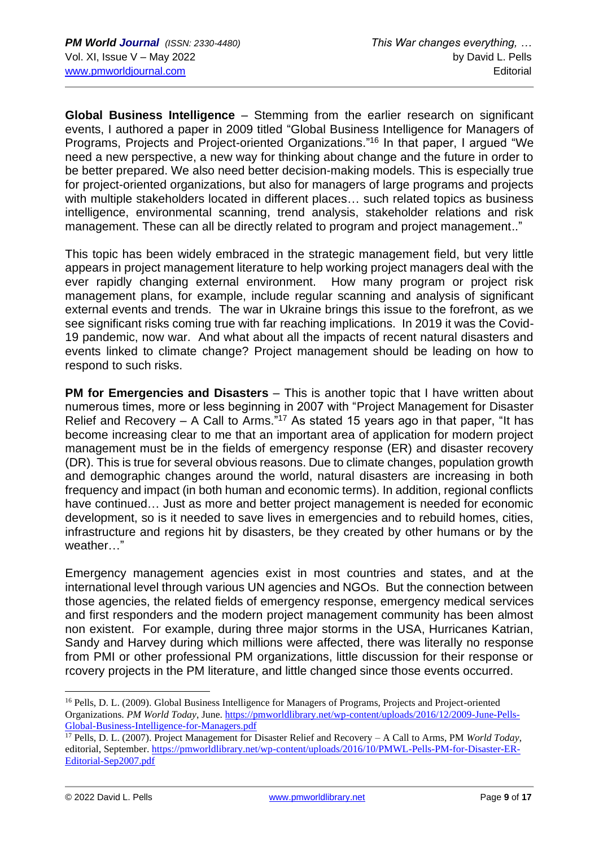**Global Business Intelligence** – Stemming from the earlier research on significant events, I authored a paper in 2009 titled "Global Business Intelligence for Managers of Programs, Projects and Project-oriented Organizations."<sup>16</sup> In that paper, I argued "We need a new perspective, a new way for thinking about change and the future in order to be better prepared. We also need better decision-making models. This is especially true for project-oriented organizations, but also for managers of large programs and projects with multiple stakeholders located in different places... such related topics as business intelligence, environmental scanning, trend analysis, stakeholder relations and risk management. These can all be directly related to program and project management.."

This topic has been widely embraced in the strategic management field, but very little appears in project management literature to help working project managers deal with the ever rapidly changing external environment. How many program or project risk management plans, for example, include regular scanning and analysis of significant external events and trends. The war in Ukraine brings this issue to the forefront, as we see significant risks coming true with far reaching implications. In 2019 it was the Covid-19 pandemic, now war. And what about all the impacts of recent natural disasters and events linked to climate change? Project management should be leading on how to respond to such risks.

**PM for Emergencies and Disasters** – This is another topic that I have written about numerous times, more or less beginning in 2007 with "Project Management for Disaster Relief and Recovery – A Call to Arms."<sup>17</sup> As stated 15 years ago in that paper, "It has become increasing clear to me that an important area of application for modern project management must be in the fields of emergency response (ER) and disaster recovery (DR). This is true for several obvious reasons. Due to climate changes, population growth and demographic changes around the world, natural disasters are increasing in both frequency and impact (in both human and economic terms). In addition, regional conflicts have continued… Just as more and better project management is needed for economic development, so is it needed to save lives in emergencies and to rebuild homes, cities, infrastructure and regions hit by disasters, be they created by other humans or by the weather…"

Emergency management agencies exist in most countries and states, and at the international level through various UN agencies and NGOs. But the connection between those agencies, the related fields of emergency response, emergency medical services and first responders and the modern project management community has been almost non existent. For example, during three major storms in the USA, Hurricanes Katrian, Sandy and Harvey during which millions were affected, there was literally no response from PMI or other professional PM organizations, little discussion for their response or rcovery projects in the PM literature, and little changed since those events occurred.

<sup>&</sup>lt;sup>16</sup> Pells, D. L. (2009). Global Business Intelligence for Managers of Programs, Projects and Project-oriented Organizations. *PM World Today*, June[. https://pmworldlibrary.net/wp-content/uploads/2016/12/2009-June-Pells-](https://pmworldlibrary.net/wp-content/uploads/2016/12/2009-June-Pells-Global-Business-Intelligence-for-Managers.pdf)[Global-Business-Intelligence-for-Managers.pdf](https://pmworldlibrary.net/wp-content/uploads/2016/12/2009-June-Pells-Global-Business-Intelligence-for-Managers.pdf)

<sup>17</sup> Pells, D. L. (2007). Project Management for Disaster Relief and Recovery – A Call to Arms, PM *World Today*, editorial, September. [https://pmworldlibrary.net/wp-content/uploads/2016/10/PMWL-Pells-PM-for-Disaster-ER-](https://pmworldlibrary.net/wp-content/uploads/2016/10/PMWL-Pells-PM-for-Disaster-ER-Editorial-Sep2007.pdf)[Editorial-Sep2007.pdf](https://pmworldlibrary.net/wp-content/uploads/2016/10/PMWL-Pells-PM-for-Disaster-ER-Editorial-Sep2007.pdf)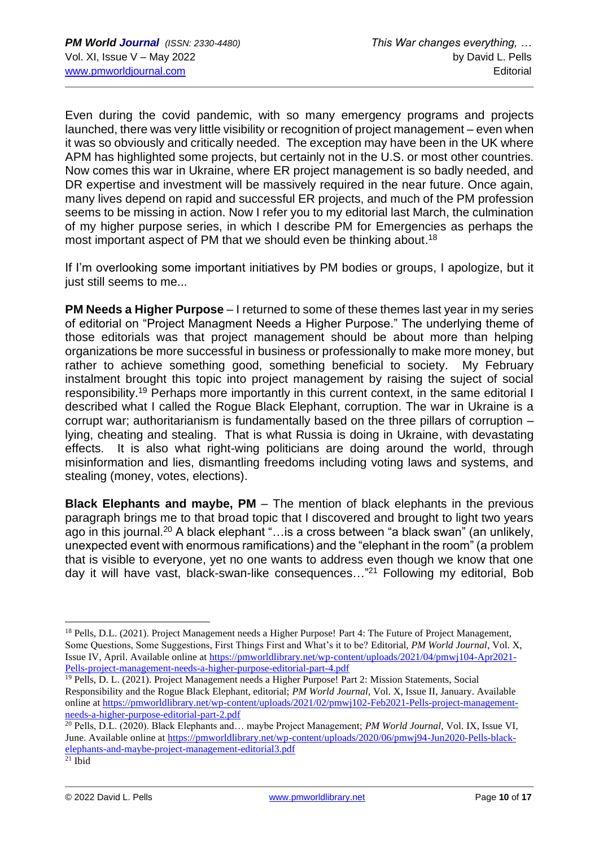Even during the covid pandemic, with so many emergency programs and projects launched, there was very little visibility or recognition of project management – even when it was so obviously and critically needed. The exception may have been in the UK where APM has highlighted some projects, but certainly not in the U.S. or most other countries. Now comes this war in Ukraine, where ER project management is so badly needed, and DR expertise and investment will be massively required in the near future. Once again, many lives depend on rapid and successful ER projects, and much of the PM profession seems to be missing in action. Now I refer you to my editorial last March, the culmination of my higher purpose series, in which I describe PM for Emergencies as perhaps the most important aspect of PM that we should even be thinking about.<sup>18</sup>

If I'm overlooking some important initiatives by PM bodies or groups, I apologize, but it just still seems to me...

**PM Needs a Higher Purpose** – I returned to some of these themes last year in my series of editorial on "Project Managment Needs a Higher Purpose." The underlying theme of those editorials was that project management should be about more than helping organizations be more successful in business or professionally to make more money, but rather to achieve something good, something beneficial to society. My February instalment brought this topic into project management by raising the suject of social responsibility.<sup>19</sup> Perhaps more importantly in this current context, in the same editorial I described what I called the Rogue Black Elephant, corruption. The war in Ukraine is a corrupt war; authoritarianism is fundamentally based on the three pillars of corruption – lying, cheating and stealing. That is what Russia is doing in Ukraine, with devastating effects. It is also what right-wing politicians are doing around the world, through misinformation and lies, dismantling freedoms including voting laws and systems, and stealing (money, votes, elections).

**Black Elephants and maybe, PM** – The mention of black elephants in the previous paragraph brings me to that broad topic that I discovered and brought to light two years ago in this journal.<sup>20</sup> A black elephant "...is a cross between "a black swan" (an unlikely, unexpected event with enormous ramifications) and the "elephant in the room" (a problem that is visible to everyone, yet no one wants to address even though we know that one day it will have vast, black-swan-like consequences…"<sup>21</sup> Following my editorial, Bob

<sup>&</sup>lt;sup>18</sup> Pells, D.L. (2021). Project Management needs a Higher Purpose! Part 4: The Future of Project Management, Some Questions, Some Suggestions, First Things First and What's it to be? Editorial, *PM World Journal*, Vol. X, Issue IV, April. Available online at [https://pmworldlibrary.net/wp-content/uploads/2021/04/pmwj104-Apr2021-](https://pmworldlibrary.net/wp-content/uploads/2021/04/pmwj104-Apr2021-Pells-project-management-needs-a-higher-purpose-editorial-part-4.pdf) [Pells-project-management-needs-a-higher-purpose-editorial-part-4.pdf](https://pmworldlibrary.net/wp-content/uploads/2021/04/pmwj104-Apr2021-Pells-project-management-needs-a-higher-purpose-editorial-part-4.pdf)

<sup>&</sup>lt;sup>19</sup> Pells, D. L. (2021). Project Management needs a Higher Purpose! Part 2: Mission Statements, Social Responsibility and the Rogue Black Elephant, editorial; *PM World Journal*, Vol. X, Issue II, January. Available online at [https://pmworldlibrary.net/wp-content/uploads/2021/02/pmwj102-Feb2021-Pells-project-management](https://pmworldlibrary.net/wp-content/uploads/2021/02/pmwj102-Feb2021-Pells-project-management-needs-a-higher-purpose-editorial-part-2.pdf)[needs-a-higher-purpose-editorial-part-2.pdf](https://pmworldlibrary.net/wp-content/uploads/2021/02/pmwj102-Feb2021-Pells-project-management-needs-a-higher-purpose-editorial-part-2.pdf)

<sup>20</sup> Pells, D.L. (2020). Black Elephants and… maybe Project Management; *PM World Journal*, Vol. IX, Issue VI, June. Available online a[t https://pmworldlibrary.net/wp-content/uploads/2020/06/pmwj94-Jun2020-Pells-black](https://pmworldlibrary.net/wp-content/uploads/2020/06/pmwj94-Jun2020-Pells-black-elephants-and-maybe-project-management-editorial3.pdf)[elephants-and-maybe-project-management-editorial3.pdf](https://pmworldlibrary.net/wp-content/uploads/2020/06/pmwj94-Jun2020-Pells-black-elephants-and-maybe-project-management-editorial3.pdf)

 $21$  Ibid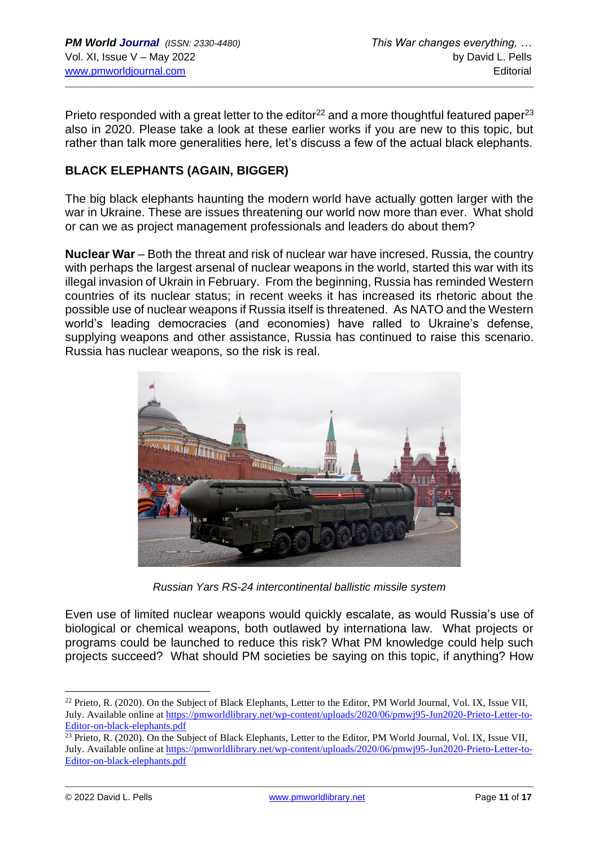Prieto responded with a great letter to the editor<sup>22</sup> and a more thoughtful featured paper<sup>23</sup> also in 2020. Please take a look at these earlier works if you are new to this topic, but rather than talk more generalities here, let's discuss a few of the actual black elephants.

## **BLACK ELEPHANTS (AGAIN, BIGGER)**

The big black elephants haunting the modern world have actually gotten larger with the war in Ukraine. These are issues threatening our world now more than ever. What shold or can we as project management professionals and leaders do about them?

**Nuclear War** – Both the threat and risk of nuclear war have incresed. Russia, the country with perhaps the largest arsenal of nuclear weapons in the world, started this war with its illegal invasion of Ukrain in February. From the beginning, Russia has reminded Western countries of its nuclear status; in recent weeks it has increased its rhetoric about the possible use of nuclear weapons if Russia itself is threatened. As NATO and the Western world's leading democracies (and economies) have ralled to Ukraine's defense, supplying weapons and other assistance, Russia has continued to raise this scenario. Russia has nuclear weapons, so the risk is real.



*Russian Yars RS-24 intercontinental ballistic missile system*

Even use of limited nuclear weapons would quickly escalate, as would Russia's use of biological or chemical weapons, both outlawed by internationa law. What projects or programs could be launched to reduce this risk? What PM knowledge could help such projects succeed? What should PM societies be saying on this topic, if anything? How

 $^{22}$  Prieto, R. (2020). On the Subject of Black Elephants, Letter to the Editor, PM World Journal, Vol. IX, Issue VII, July. Available online at [https://pmworldlibrary.net/wp-content/uploads/2020/06/pmwj95-Jun2020-Prieto-Letter-to-](https://pmworldlibrary.net/wp-content/uploads/2020/06/pmwj95-Jun2020-Prieto-Letter-to-Editor-on-black-elephants.pdf)[Editor-on-black-elephants.pdf](https://pmworldlibrary.net/wp-content/uploads/2020/06/pmwj95-Jun2020-Prieto-Letter-to-Editor-on-black-elephants.pdf)

<sup>&</sup>lt;sup>23</sup> Prieto, R. (2020). On the Subject of Black Elephants, Letter to the Editor, PM World Journal, Vol. IX, Issue VII, July. Available online at [https://pmworldlibrary.net/wp-content/uploads/2020/06/pmwj95-Jun2020-Prieto-Letter-to-](https://pmworldlibrary.net/wp-content/uploads/2020/06/pmwj95-Jun2020-Prieto-Letter-to-Editor-on-black-elephants.pdf)[Editor-on-black-elephants.pdf](https://pmworldlibrary.net/wp-content/uploads/2020/06/pmwj95-Jun2020-Prieto-Letter-to-Editor-on-black-elephants.pdf)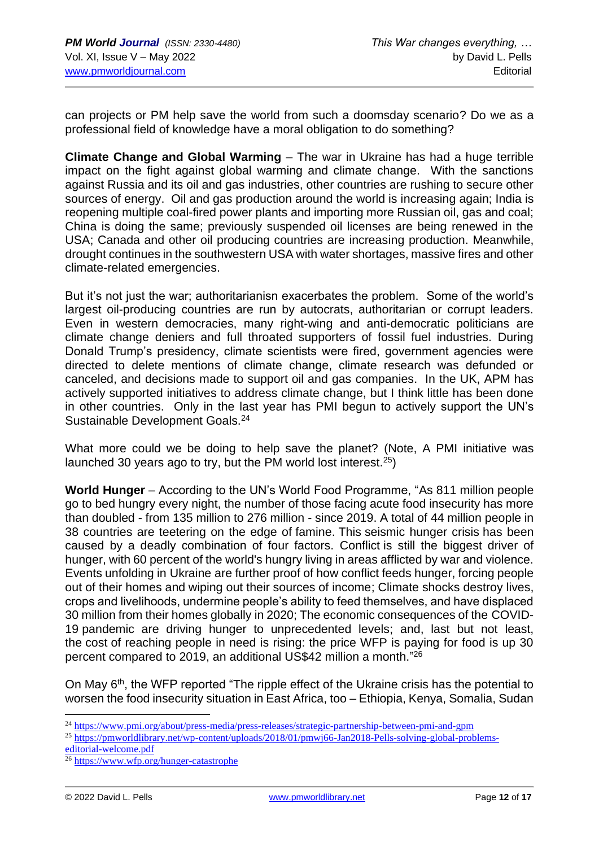can projects or PM help save the world from such a doomsday scenario? Do we as a professional field of knowledge have a moral obligation to do something?

**Climate Change and Global Warming** – The war in Ukraine has had a huge terrible impact on the fight against global warming and climate change. With the sanctions against Russia and its oil and gas industries, other countries are rushing to secure other sources of energy. Oil and gas production around the world is increasing again; India is reopening multiple coal-fired power plants and importing more Russian oil, gas and coal; China is doing the same; previously suspended oil licenses are being renewed in the USA; Canada and other oil producing countries are increasing production. Meanwhile, drought continues in the southwestern USA with water shortages, massive fires and other climate-related emergencies.

But it's not just the war; authoritarianisn exacerbates the problem. Some of the world's largest oil-producing countries are run by autocrats, authoritarian or corrupt leaders. Even in western democracies, many right-wing and anti-democratic politicians are climate change deniers and full throated supporters of fossil fuel industries. During Donald Trump's presidency, climate scientists were fired, government agencies were directed to delete mentions of climate change, climate research was defunded or canceled, and decisions made to support oil and gas companies. In the UK, APM has actively supported initiatives to address climate change, but I think little has been done in other countries. Only in the last year has PMI begun to actively support the UN's Sustainable Development Goals.<sup>24</sup>

What more could we be doing to help save the planet? (Note, A PMI initiative was launched 30 years ago to try, but the PM world lost interest.<sup>25</sup>)

**World Hunger** – According to the UN's World Food Programme, "As 811 million people go to bed hungry every night, the number of those facing acute food insecurity has more than doubled - from 135 million to 276 million - since 2019. A total of 44 million people in 38 countries are teetering on the edge of famine. This seismic hunger crisis has been caused by a deadly combination of four factors. Conflict is still the biggest driver of hunger, with 60 percent of the world's hungry living in areas afflicted by war and violence. Events unfolding in Ukraine are further proof of how conflict feeds hunger, forcing people out of their homes and wiping out their sources of income; Climate shocks destroy lives, crops and livelihoods, undermine people's ability to feed themselves, and have displaced 30 million from their homes globally in 2020; The economic consequences of the COVID-19 pandemic are driving hunger to unprecedented levels; and, last but not least, the cost of reaching people in need is rising: the price WFP is paying for food is up 30 percent compared to 2019, an additional US\$42 million a month."<sup>26</sup>

On May 6<sup>th</sup>, the WFP reported "The ripple effect of the Ukraine crisis has the potential to worsen the food insecurity situation in East Africa, too – Ethiopia, Kenya, Somalia, Sudan

<sup>24</sup> <https://www.pmi.org/about/press-media/press-releases/strategic-partnership-between-pmi-and-gpm>

<sup>25</sup> [https://pmworldlibrary.net/wp-content/uploads/2018/01/pmwj66-Jan2018-Pells-solving-global-problems](https://pmworldlibrary.net/wp-content/uploads/2018/01/pmwj66-Jan2018-Pells-solving-global-problems-editorial-welcome.pdf)[editorial-welcome.pdf](https://pmworldlibrary.net/wp-content/uploads/2018/01/pmwj66-Jan2018-Pells-solving-global-problems-editorial-welcome.pdf)

<sup>26</sup> <https://www.wfp.org/hunger-catastrophe>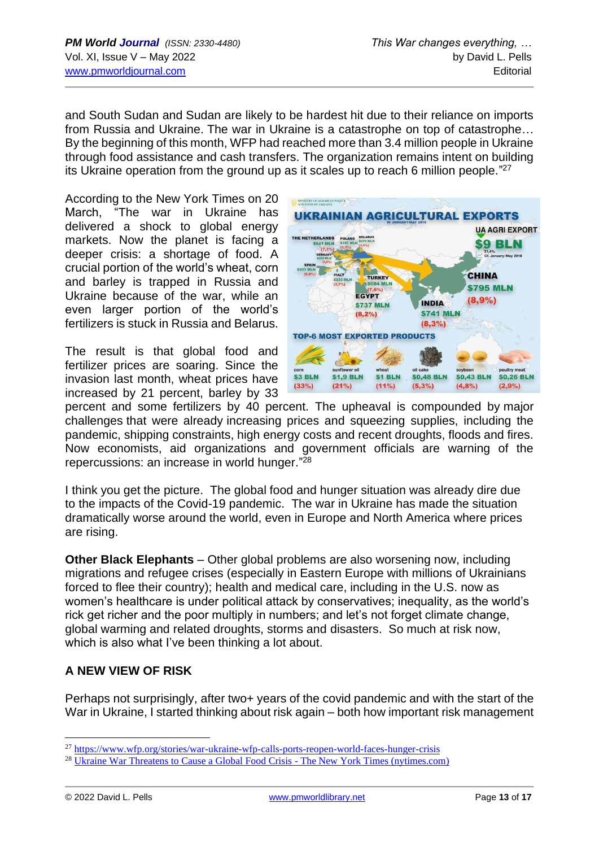and South Sudan and Sudan are likely to be hardest hit due to their reliance on imports from Russia and Ukraine. The war in Ukraine is a catastrophe on top of catastrophe… By the beginning of this month, WFP had reached more than 3.4 million people in Ukraine through food assistance and cash transfers. The organization remains intent on building its Ukraine operation from the ground up as it scales up to reach 6 million people."<sup>27</sup>

According to the New York Times on 20 March, "The war in Ukraine has delivered a shock to global energy markets. Now the planet is facing a deeper crisis: a shortage of food. A crucial portion of the world's wheat, corn and barley is trapped in Russia and Ukraine because of the war, while an even larger portion of the world's fertilizers is stuck in Russia and Belarus.

The result is that global food and fertilizer prices are soaring. Since the invasion last month, wheat prices have increased by 21 percent, barley by 33



percent and some fertilizers by 40 percent. The upheaval is compounded by major challenges that were already increasing prices and squeezing supplies, including the pandemic, shipping constraints, high energy costs and recent droughts, floods and fires. Now economists, aid organizations and government officials are warning of the repercussions: an increase in world hunger." 28

I think you get the picture. The global food and hunger situation was already dire due to the impacts of the Covid-19 pandemic. The war in Ukraine has made the situation dramatically worse around the world, even in Europe and North America where prices are rising.

**Other Black Elephants** – Other global problems are also worsening now, including migrations and refugee crises (especially in Eastern Europe with millions of Ukrainians forced to flee their country); health and medical care, including in the U.S. now as women's healthcare is under political attack by conservatives; inequality, as the world's rick get richer and the poor multiply in numbers; and let's not forget climate change, global warming and related droughts, storms and disasters. So much at risk now, which is also what I've been thinking a lot about.

## **A NEW VIEW OF RISK**

Perhaps not surprisingly, after two+ years of the covid pandemic and with the start of the War in Ukraine, I started thinking about risk again – both how important risk management

<sup>&</sup>lt;sup>27</sup> <https://www.wfp.org/stories/war-ukraine-wfp-calls-ports-reopen-world-faces-hunger-crisis>

<sup>28</sup> [Ukraine War Threatens to Cause a Global Food Crisis -](https://www.nytimes.com/2022/03/20/world/americas/ukraine-war-global-food-crisis.html#:~:text=The%20war%20in%20Ukraine%20has%20delivered%20a%20shock,world%E2%80%99s%20fertilizers%20is%20stuck%20in%20Russia%20and%20Belarus.?msclkid=db901b79d08e11ec8a334a0540bb2c23) The New York Times (nytimes.com)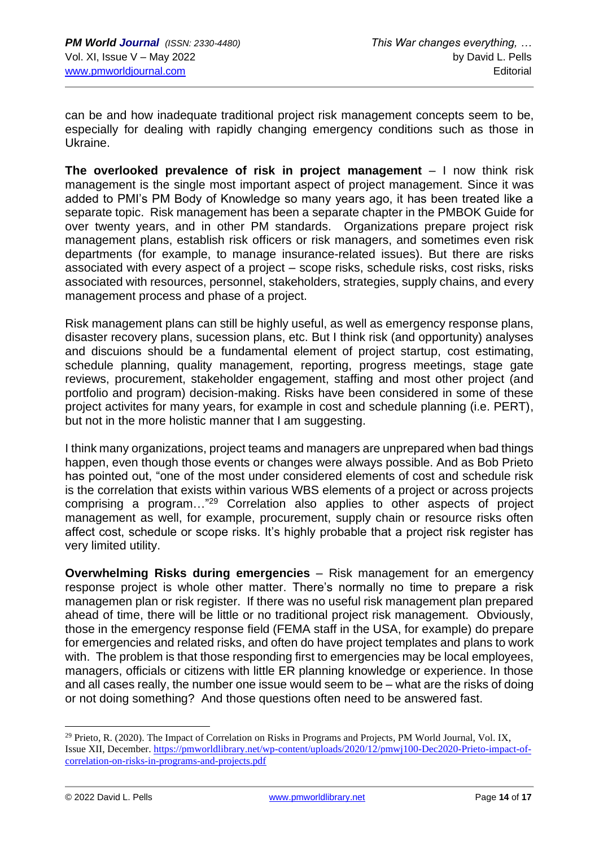can be and how inadequate traditional project risk management concepts seem to be, especially for dealing with rapidly changing emergency conditions such as those in Ukraine.

**The overlooked prevalence of risk in project management** – I now think risk management is the single most important aspect of project management. Since it was added to PMI's PM Body of Knowledge so many years ago, it has been treated like a separate topic. Risk management has been a separate chapter in the PMBOK Guide for over twenty years, and in other PM standards. Organizations prepare project risk management plans, establish risk officers or risk managers, and sometimes even risk departments (for example, to manage insurance-related issues). But there are risks associated with every aspect of a project – scope risks, schedule risks, cost risks, risks associated with resources, personnel, stakeholders, strategies, supply chains, and every management process and phase of a project.

Risk management plans can still be highly useful, as well as emergency response plans, disaster recovery plans, sucession plans, etc. But I think risk (and opportunity) analyses and discuions should be a fundamental element of project startup, cost estimating, schedule planning, quality management, reporting, progress meetings, stage gate reviews, procurement, stakeholder engagement, staffing and most other project (and portfolio and program) decision-making. Risks have been considered in some of these project activites for many years, for example in cost and schedule planning (i.e. PERT), but not in the more holistic manner that I am suggesting.

I think many organizations, project teams and managers are unprepared when bad things happen, even though those events or changes were always possible. And as Bob Prieto has pointed out, "one of the most under considered elements of cost and schedule risk is the correlation that exists within various WBS elements of a project or across projects comprising a program…"<sup>29</sup> Correlation also applies to other aspects of project management as well, for example, procurement, supply chain or resource risks often affect cost, schedule or scope risks. It's highly probable that a project risk register has very limited utility.

**Overwhelming Risks during emergencies** – Risk management for an emergency response project is whole other matter. There's normally no time to prepare a risk managemen plan or risk register. If there was no useful risk management plan prepared ahead of time, there will be little or no traditional project risk management. Obviously, those in the emergency response field (FEMA staff in the USA, for example) do prepare for emergencies and related risks, and often do have project templates and plans to work with. The problem is that those responding first to emergencies may be local employees. managers, officials or citizens with little ER planning knowledge or experience. In those and all cases really, the number one issue would seem to be – what are the risks of doing or not doing something? And those questions often need to be answered fast.

<sup>&</sup>lt;sup>29</sup> Prieto, R. (2020). The Impact of Correlation on Risks in Programs and Projects, PM World Journal, Vol. IX, Issue XII, December. [https://pmworldlibrary.net/wp-content/uploads/2020/12/pmwj100-Dec2020-Prieto-impact-of](https://pmworldlibrary.net/wp-content/uploads/2020/12/pmwj100-Dec2020-Prieto-impact-of-correlation-on-risks-in-programs-and-projects.pdf)[correlation-on-risks-in-programs-and-projects.pdf](https://pmworldlibrary.net/wp-content/uploads/2020/12/pmwj100-Dec2020-Prieto-impact-of-correlation-on-risks-in-programs-and-projects.pdf)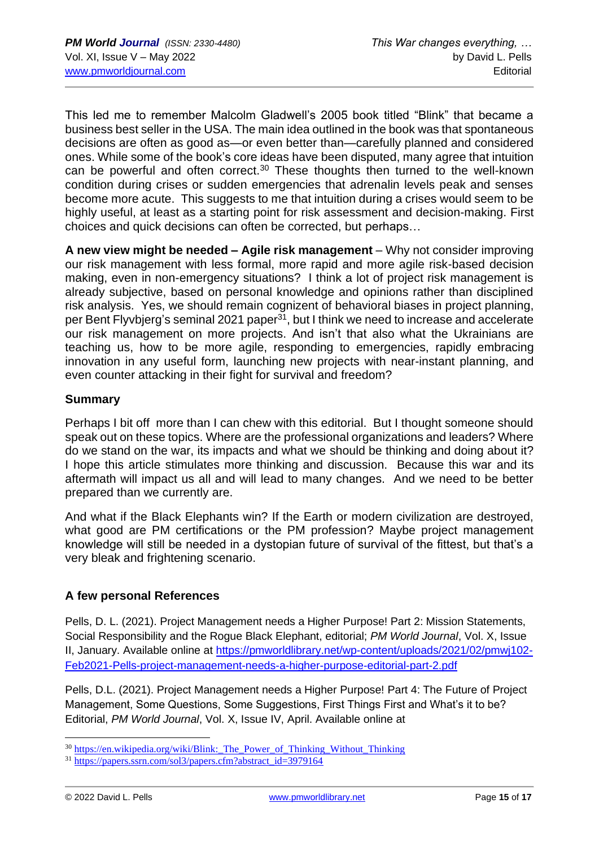This led me to remember Malcolm Gladwell's 2005 book titled "Blink" that became a business best seller in the USA. The main idea outlined in the book was that spontaneous decisions are often as good as—or even better than—carefully planned and considered ones. While some of the book's core ideas have been disputed, many agree that intuition can be powerful and often correct.<sup>30</sup> These thoughts then turned to the well-known condition during crises or sudden emergencies that adrenalin levels peak and senses become more acute. This suggests to me that intuition during a crises would seem to be highly useful, at least as a starting point for risk assessment and decision-making. First choices and quick decisions can often be corrected, but perhaps…

**A new view might be needed – Agile risk management** – Why not consider improving our risk management with less formal, more rapid and more agile risk-based decision making, even in non-emergency situations? I think a lot of project risk management is already subjective, based on personal knowledge and opinions rather than disciplined risk analysis. Yes, we should remain cognizent of behavioral biases in project planning, per Bent Flyvbjerg's seminal 2021 paper<sup>31</sup>, but I think we need to increase and accelerate our risk management on more projects. And isn't that also what the Ukrainians are teaching us, how to be more agile, responding to emergencies, rapidly embracing innovation in any useful form, launching new projects with near-instant planning, and even counter attacking in their fight for survival and freedom?

#### **Summary**

Perhaps I bit off more than I can chew with this editorial. But I thought someone should speak out on these topics. Where are the professional organizations and leaders? Where do we stand on the war, its impacts and what we should be thinking and doing about it? I hope this article stimulates more thinking and discussion. Because this war and its aftermath will impact us all and will lead to many changes. And we need to be better prepared than we currently are.

And what if the Black Elephants win? If the Earth or modern civilization are destroyed, what good are PM certifications or the PM profession? Maybe project management knowledge will still be needed in a dystopian future of survival of the fittest, but that's a very bleak and frightening scenario.

## **A few personal References**

Pells, D. L. (2021). Project Management needs a Higher Purpose! Part 2: Mission Statements, Social Responsibility and the Rogue Black Elephant, editorial; *PM World Journal*, Vol. X, Issue II, January. Available online at [https://pmworldlibrary.net/wp-content/uploads/2021/02/pmwj102-](https://pmworldlibrary.net/wp-content/uploads/2021/02/pmwj102-Feb2021-Pells-project-management-needs-a-higher-purpose-editorial-part-2.pdf) [Feb2021-Pells-project-management-needs-a-higher-purpose-editorial-part-2.pdf](https://pmworldlibrary.net/wp-content/uploads/2021/02/pmwj102-Feb2021-Pells-project-management-needs-a-higher-purpose-editorial-part-2.pdf)

Pells, D.L. (2021). Project Management needs a Higher Purpose! Part 4: The Future of Project Management, Some Questions, Some Suggestions, First Things First and What's it to be? Editorial, *PM World Journal*, Vol. X, Issue IV, April. Available online at

<sup>&</sup>lt;sup>30</sup> https://en.wikipedia.org/wiki/Blink: The Power of Thinking Without Thinking

<sup>31</sup> [https://papers.ssrn.com/sol3/papers.cfm?abstract\\_id=3979164](https://papers.ssrn.com/sol3/papers.cfm?abstract_id=3979164)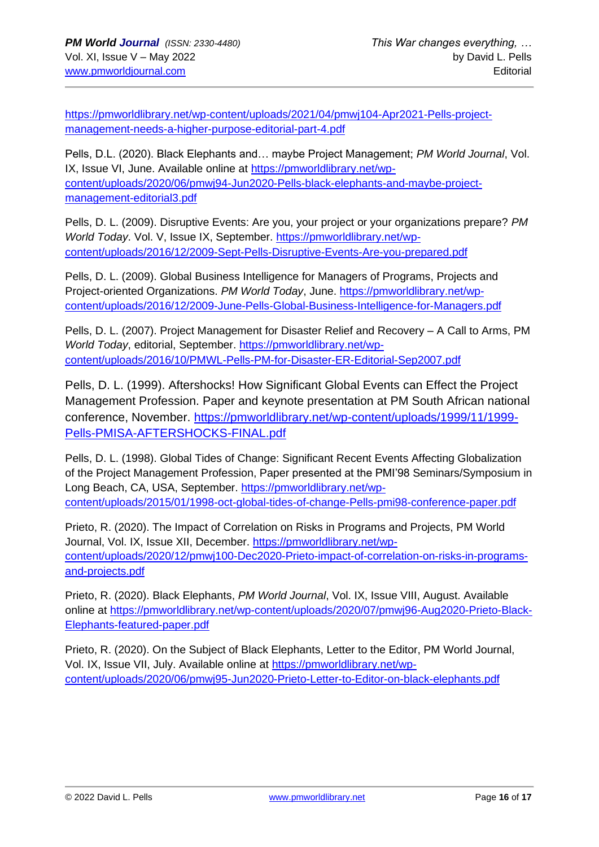[https://pmworldlibrary.net/wp-content/uploads/2021/04/pmwj104-Apr2021-Pells-project](https://pmworldlibrary.net/wp-content/uploads/2021/04/pmwj104-Apr2021-Pells-project-management-needs-a-higher-purpose-editorial-part-4.pdf)[management-needs-a-higher-purpose-editorial-part-4.pdf](https://pmworldlibrary.net/wp-content/uploads/2021/04/pmwj104-Apr2021-Pells-project-management-needs-a-higher-purpose-editorial-part-4.pdf)

Pells, D.L. (2020). Black Elephants and… maybe Project Management; *PM World Journal*, Vol. IX, Issue VI, June. Available online at [https://pmworldlibrary.net/wp](https://pmworldlibrary.net/wp-content/uploads/2020/06/pmwj94-Jun2020-Pells-black-elephants-and-maybe-project-management-editorial3.pdf)[content/uploads/2020/06/pmwj94-Jun2020-Pells-black-elephants-and-maybe-project](https://pmworldlibrary.net/wp-content/uploads/2020/06/pmwj94-Jun2020-Pells-black-elephants-and-maybe-project-management-editorial3.pdf)[management-editorial3.pdf](https://pmworldlibrary.net/wp-content/uploads/2020/06/pmwj94-Jun2020-Pells-black-elephants-and-maybe-project-management-editorial3.pdf)

Pells, D. L. (2009). Disruptive Events: Are you, your project or your organizations prepare? *PM World Today*. Vol. V, Issue IX, September. [https://pmworldlibrary.net/wp](https://pmworldlibrary.net/wp-content/uploads/2016/12/2009-Sept-Pells-Disruptive-Events-Are-you-prepared.pdf)[content/uploads/2016/12/2009-Sept-Pells-Disruptive-Events-Are-you-prepared.pdf](https://pmworldlibrary.net/wp-content/uploads/2016/12/2009-Sept-Pells-Disruptive-Events-Are-you-prepared.pdf)

Pells, D. L. (2009). Global Business Intelligence for Managers of Programs, Projects and Project-oriented Organizations. *PM World Today*, June. [https://pmworldlibrary.net/wp](https://pmworldlibrary.net/wp-content/uploads/2016/12/2009-June-Pells-Global-Business-Intelligence-for-Managers.pdf)[content/uploads/2016/12/2009-June-Pells-Global-Business-Intelligence-for-Managers.pdf](https://pmworldlibrary.net/wp-content/uploads/2016/12/2009-June-Pells-Global-Business-Intelligence-for-Managers.pdf)

Pells, D. L. (2007). Project Management for Disaster Relief and Recovery – A Call to Arms, PM *World Today*, editorial, September. [https://pmworldlibrary.net/wp](https://pmworldlibrary.net/wp-content/uploads/2016/10/PMWL-Pells-PM-for-Disaster-ER-Editorial-Sep2007.pdf)[content/uploads/2016/10/PMWL-Pells-PM-for-Disaster-ER-Editorial-Sep2007.pdf](https://pmworldlibrary.net/wp-content/uploads/2016/10/PMWL-Pells-PM-for-Disaster-ER-Editorial-Sep2007.pdf)

Pells, D. L. (1999). Aftershocks! How Significant Global Events can Effect the Project Management Profession. Paper and keynote presentation at PM South African national conference, November. [https://pmworldlibrary.net/wp-content/uploads/1999/11/1999-](https://pmworldlibrary.net/wp-content/uploads/1999/11/1999-Pells-PMISA-AFTERSHOCKS-FINAL.pdf) [Pells-PMISA-AFTERSHOCKS-FINAL.pdf](https://pmworldlibrary.net/wp-content/uploads/1999/11/1999-Pells-PMISA-AFTERSHOCKS-FINAL.pdf)

Pells, D. L. (1998). Global Tides of Change: Significant Recent Events Affecting Globalization of the Project Management Profession, Paper presented at the PMI'98 Seminars/Symposium in Long Beach, CA, USA, September. [https://pmworldlibrary.net/wp](https://pmworldlibrary.net/wp-content/uploads/2015/01/1998-oct-global-tides-of-change-Pells-pmi98-conference-paper.pdf)[content/uploads/2015/01/1998-oct-global-tides-of-change-Pells-pmi98-conference-paper.pdf](https://pmworldlibrary.net/wp-content/uploads/2015/01/1998-oct-global-tides-of-change-Pells-pmi98-conference-paper.pdf)

Prieto, R. (2020). The Impact of Correlation on Risks in Programs and Projects, PM World Journal, Vol. IX, Issue XII, December. [https://pmworldlibrary.net/wp](https://pmworldlibrary.net/wp-content/uploads/2020/12/pmwj100-Dec2020-Prieto-impact-of-correlation-on-risks-in-programs-and-projects.pdf)[content/uploads/2020/12/pmwj100-Dec2020-Prieto-impact-of-correlation-on-risks-in-programs](https://pmworldlibrary.net/wp-content/uploads/2020/12/pmwj100-Dec2020-Prieto-impact-of-correlation-on-risks-in-programs-and-projects.pdf)[and-projects.pdf](https://pmworldlibrary.net/wp-content/uploads/2020/12/pmwj100-Dec2020-Prieto-impact-of-correlation-on-risks-in-programs-and-projects.pdf)

Prieto, R. (2020). Black Elephants, *PM World Journal*, Vol. IX, Issue VIII, August. Available online at [https://pmworldlibrary.net/wp-content/uploads/2020/07/pmwj96-Aug2020-Prieto-Black-](https://pmworldlibrary.net/wp-content/uploads/2020/07/pmwj96-Aug2020-Prieto-Black-Elephants-featured-paper.pdf)[Elephants-featured-paper.pdf](https://pmworldlibrary.net/wp-content/uploads/2020/07/pmwj96-Aug2020-Prieto-Black-Elephants-featured-paper.pdf)

Prieto, R. (2020). On the Subject of Black Elephants, Letter to the Editor, PM World Journal, Vol. IX, Issue VII, July. Available online at [https://pmworldlibrary.net/wp](https://pmworldlibrary.net/wp-content/uploads/2020/06/pmwj95-Jun2020-Prieto-Letter-to-Editor-on-black-elephants.pdf)[content/uploads/2020/06/pmwj95-Jun2020-Prieto-Letter-to-Editor-on-black-elephants.pdf](https://pmworldlibrary.net/wp-content/uploads/2020/06/pmwj95-Jun2020-Prieto-Letter-to-Editor-on-black-elephants.pdf)